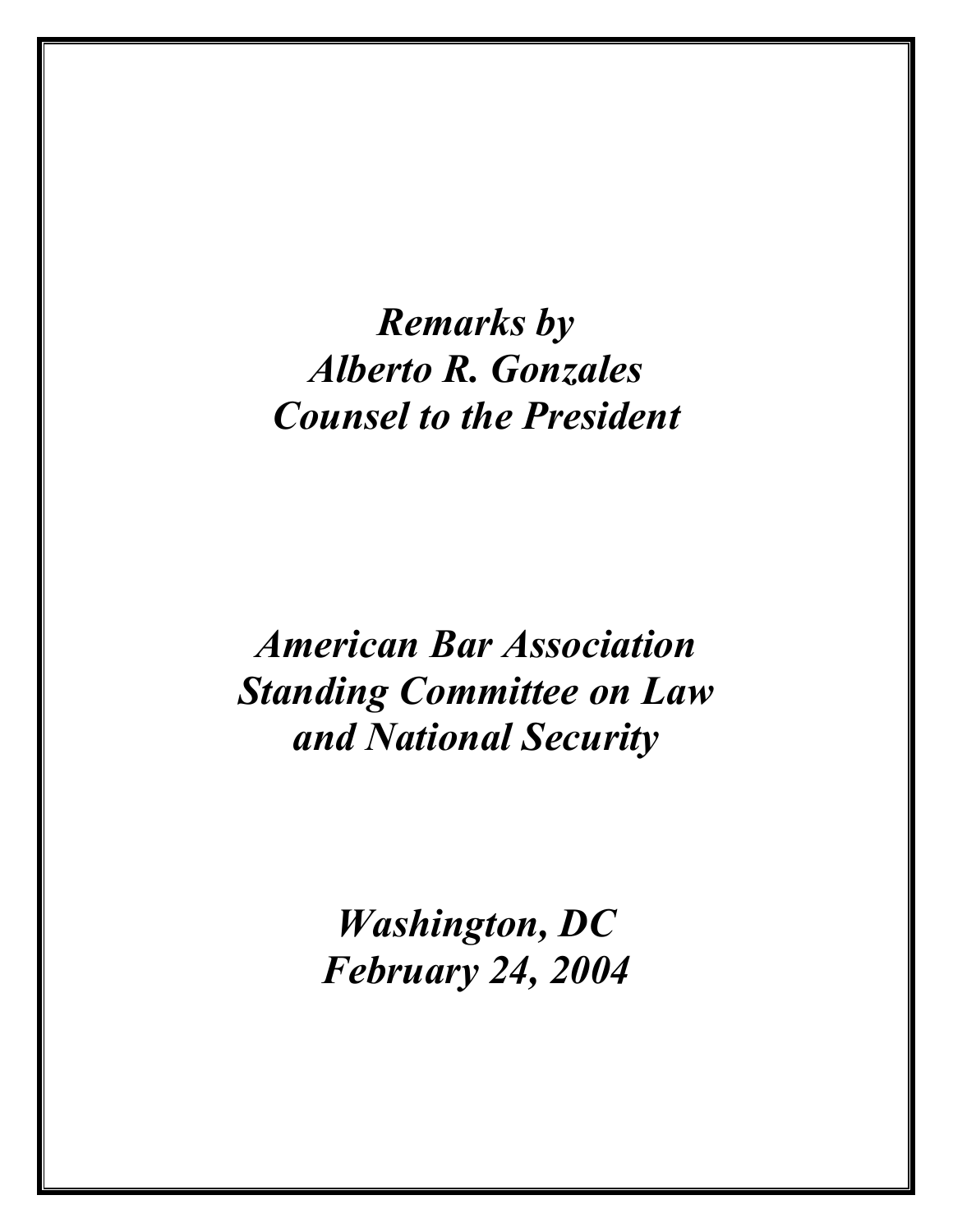*Remarks by Alberto R. Gonzales Counsel to the President* 

*American Bar Association Standing Committee on Law and National Security* 

> *Washington, DC February 24, 2004*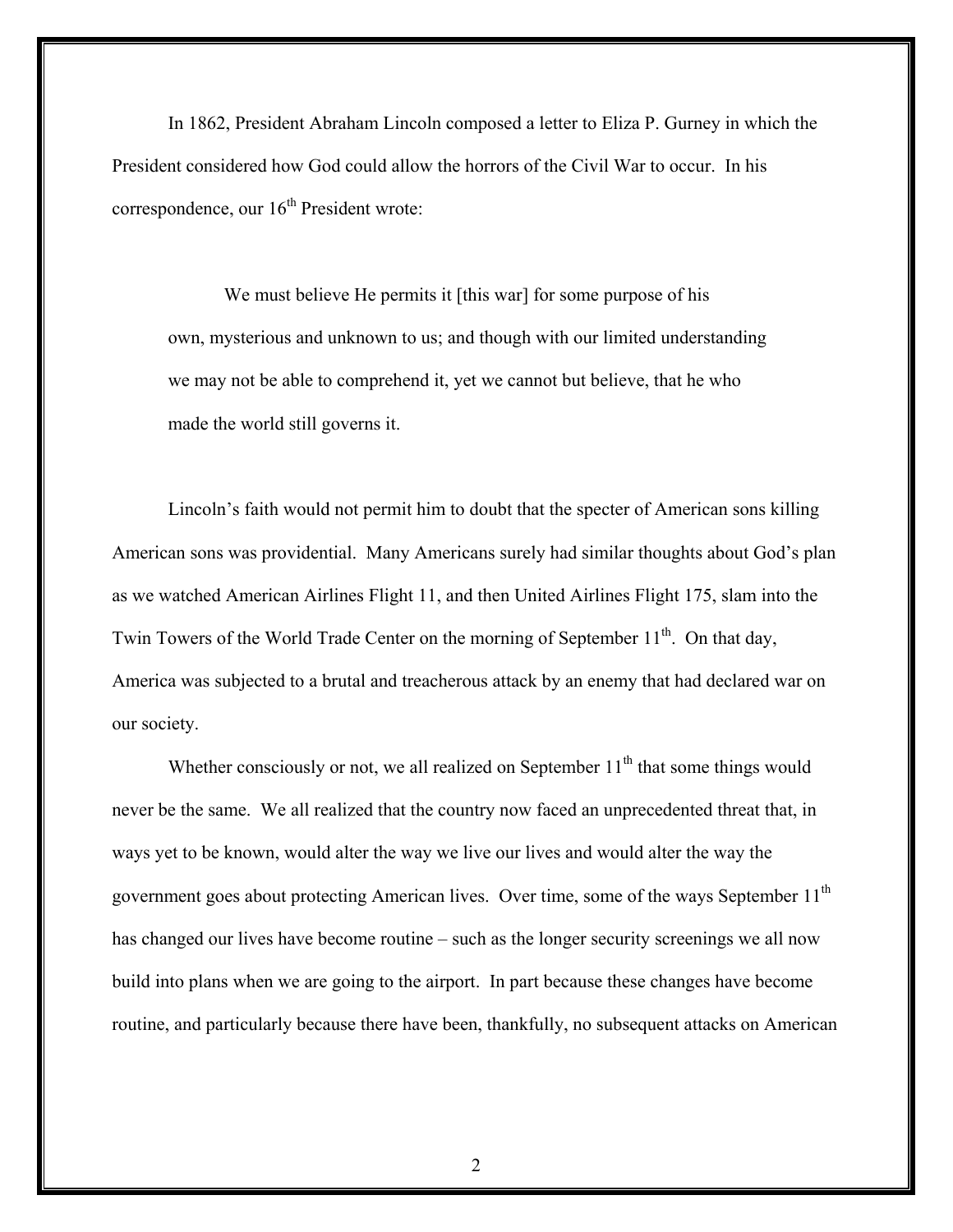In 1862, President Abraham Lincoln composed a letter to Eliza P. Gurney in which the President considered how God could allow the horrors of the Civil War to occur. In his correspondence, our  $16<sup>th</sup>$  President wrote:

We must believe He permits it [this war] for some purpose of his own, mysterious and unknown to us; and though with our limited understanding we may not be able to comprehend it, yet we cannot but believe, that he who made the world still governs it.

Lincoln's faith would not permit him to doubt that the specter of American sons killing American sons was providential. Many Americans surely had similar thoughts about God's plan as we watched American Airlines Flight 11, and then United Airlines Flight 175, slam into the Twin Towers of the World Trade Center on the morning of September  $11<sup>th</sup>$ . On that day, America was subjected to a brutal and treacherous attack by an enemy that had declared war on our society.

Whether consciously or not, we all realized on September  $11<sup>th</sup>$  that some things would never be the same. We all realized that the country now faced an unprecedented threat that, in ways yet to be known, would alter the way we live our lives and would alter the way the government goes about protecting American lives. Over time, some of the ways September 11<sup>th</sup> has changed our lives have become routine – such as the longer security screenings we all now build into plans when we are going to the airport. In part because these changes have become routine, and particularly because there have been, thankfully, no subsequent attacks on American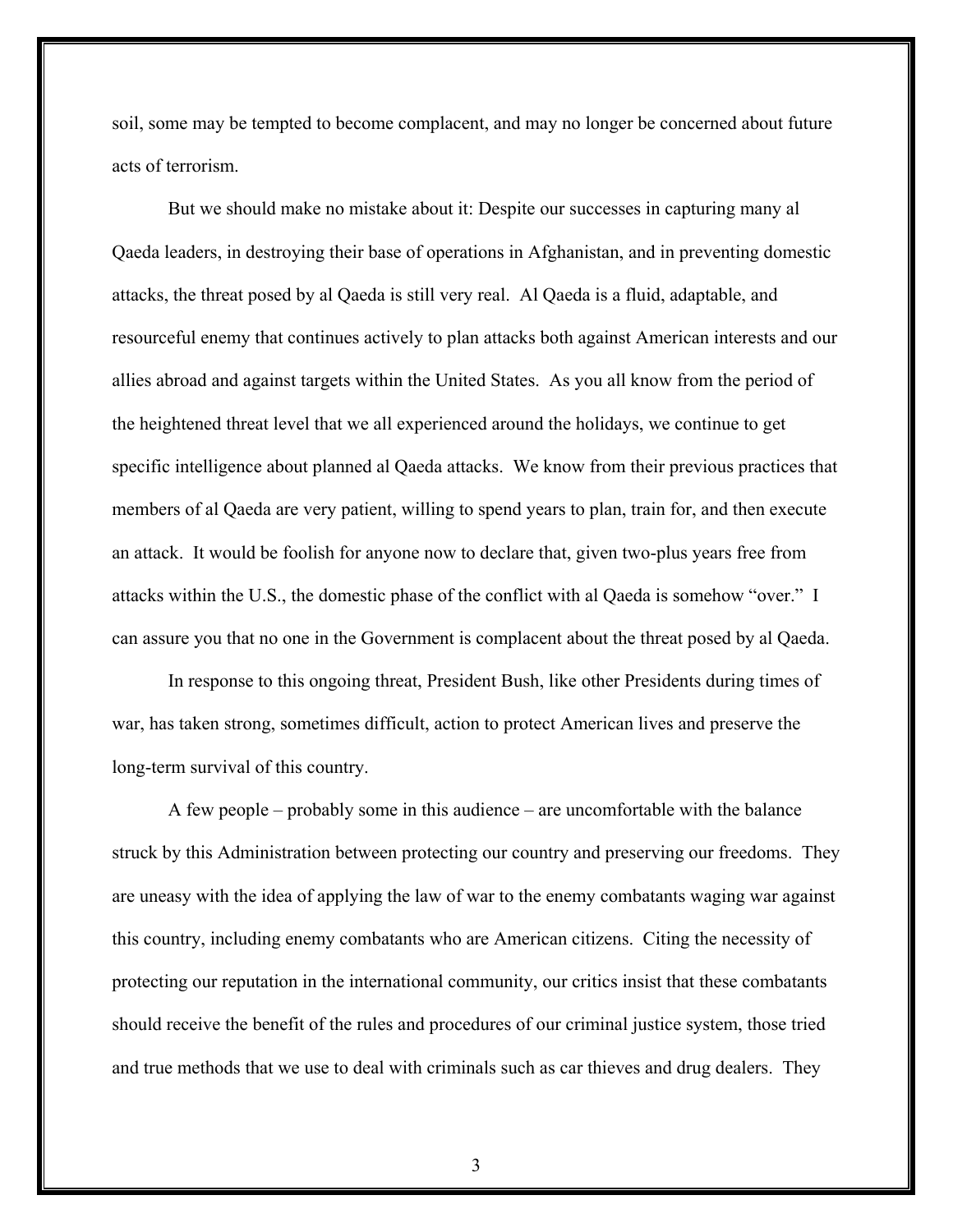soil, some may be tempted to become complacent, and may no longer be concerned about future acts of terrorism.

But we should make no mistake about it: Despite our successes in capturing many al Qaeda leaders, in destroying their base of operations in Afghanistan, and in preventing domestic attacks, the threat posed by al Qaeda is still very real. Al Qaeda is a fluid, adaptable, and resourceful enemy that continues actively to plan attacks both against American interests and our allies abroad and against targets within the United States. As you all know from the period of the heightened threat level that we all experienced around the holidays, we continue to get specific intelligence about planned al Qaeda attacks. We know from their previous practices that members of al Qaeda are very patient, willing to spend years to plan, train for, and then execute an attack. It would be foolish for anyone now to declare that, given two-plus years free from attacks within the U.S., the domestic phase of the conflict with al Qaeda is somehow "over." I can assure you that no one in the Government is complacent about the threat posed by al Qaeda.

In response to this ongoing threat, President Bush, like other Presidents during times of war, has taken strong, sometimes difficult, action to protect American lives and preserve the long-term survival of this country.

A few people – probably some in this audience – are uncomfortable with the balance struck by this Administration between protecting our country and preserving our freedoms. They are uneasy with the idea of applying the law of war to the enemy combatants waging war against this country, including enemy combatants who are American citizens. Citing the necessity of protecting our reputation in the international community, our critics insist that these combatants should receive the benefit of the rules and procedures of our criminal justice system, those tried and true methods that we use to deal with criminals such as car thieves and drug dealers. They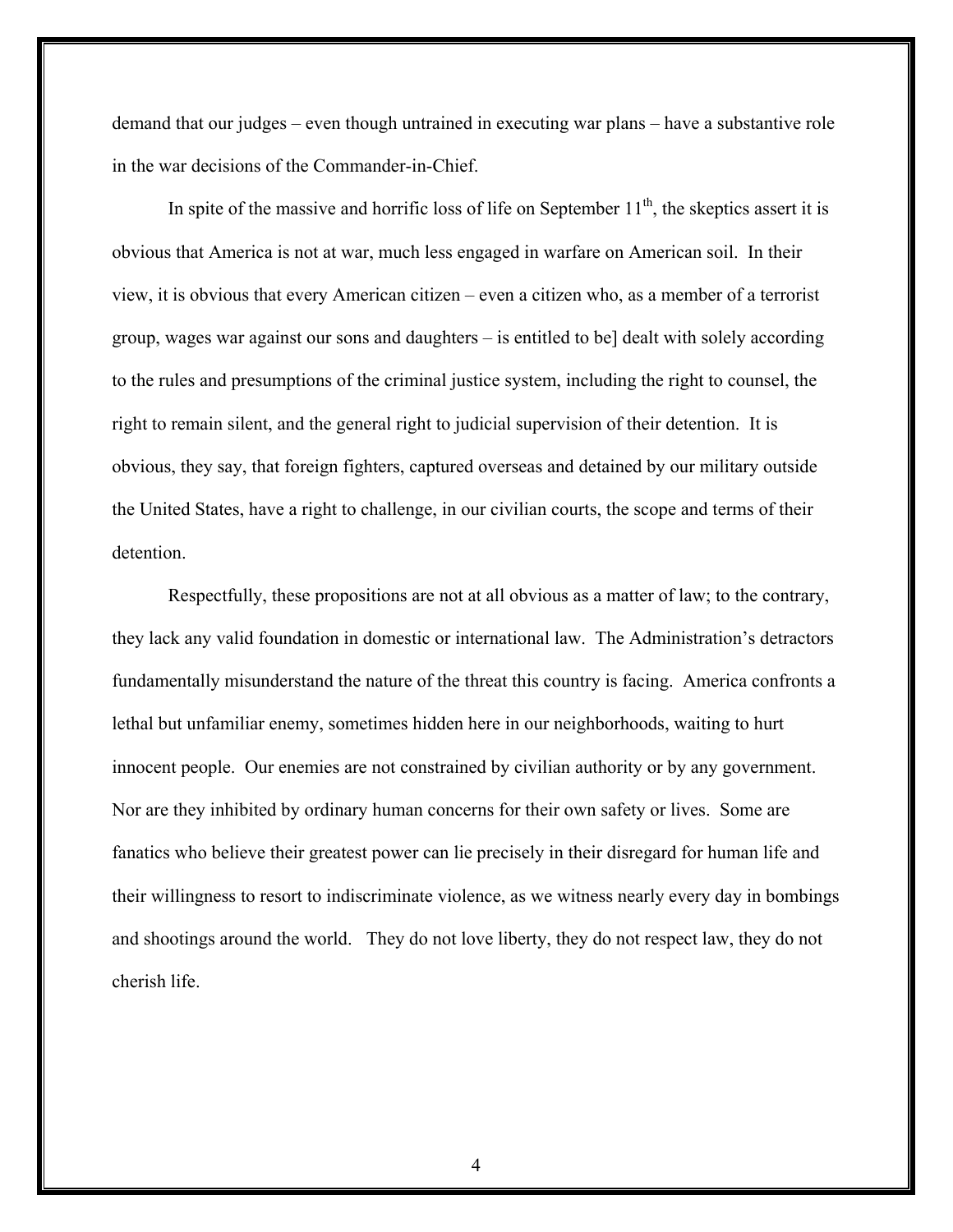demand that our judges – even though untrained in executing war plans – have a substantive role in the war decisions of the Commander-in-Chief.

In spite of the massive and horrific loss of life on September  $11<sup>th</sup>$ , the skeptics assert it is obvious that America is not at war, much less engaged in warfare on American soil. In their view, it is obvious that every American citizen – even a citizen who, as a member of a terrorist group, wages war against our sons and daughters – is entitled to be] dealt with solely according to the rules and presumptions of the criminal justice system, including the right to counsel, the right to remain silent, and the general right to judicial supervision of their detention. It is obvious, they say, that foreign fighters, captured overseas and detained by our military outside the United States, have a right to challenge, in our civilian courts, the scope and terms of their detention.

Respectfully, these propositions are not at all obvious as a matter of law; to the contrary, they lack any valid foundation in domestic or international law. The Administration's detractors fundamentally misunderstand the nature of the threat this country is facing. America confronts a lethal but unfamiliar enemy, sometimes hidden here in our neighborhoods, waiting to hurt innocent people. Our enemies are not constrained by civilian authority or by any government. Nor are they inhibited by ordinary human concerns for their own safety or lives. Some are fanatics who believe their greatest power can lie precisely in their disregard for human life and their willingness to resort to indiscriminate violence, as we witness nearly every day in bombings and shootings around the world.They do not love liberty, they do not respect law, they do not cherish life.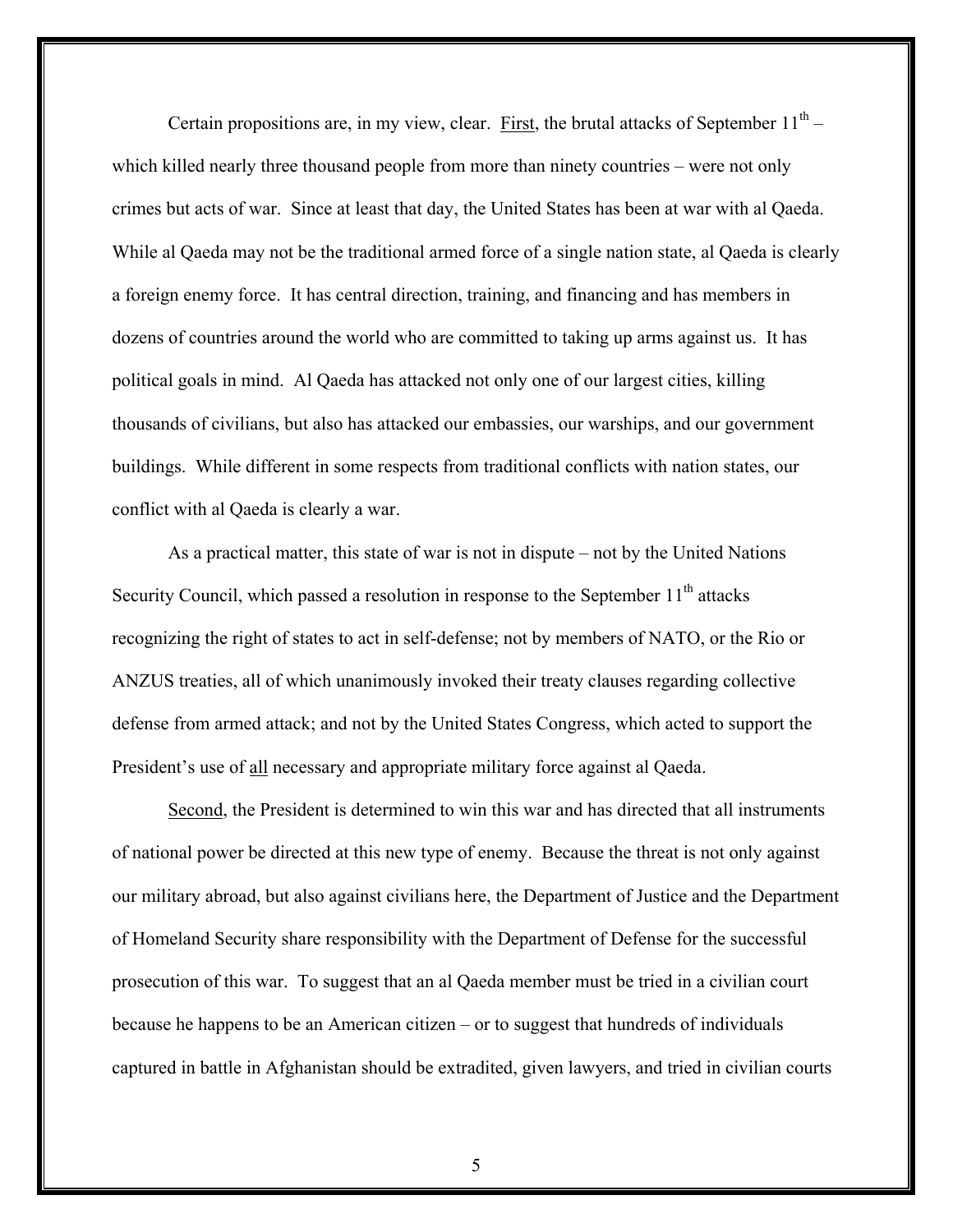Certain propositions are, in my view, clear. First, the brutal attacks of September  $11<sup>th</sup>$  – which killed nearly three thousand people from more than ninety countries – were not only crimes but acts of war. Since at least that day, the United States has been at war with al Qaeda. While al Qaeda may not be the traditional armed force of a single nation state, al Qaeda is clearly a foreign enemy force. It has central direction, training, and financing and has members in dozens of countries around the world who are committed to taking up arms against us. It has political goals in mind. Al Qaeda has attacked not only one of our largest cities, killing thousands of civilians, but also has attacked our embassies, our warships, and our government buildings. While different in some respects from traditional conflicts with nation states, our conflict with al Qaeda is clearly a war.

As a practical matter, this state of war is not in dispute – not by the United Nations Security Council, which passed a resolution in response to the September  $11<sup>th</sup>$  attacks recognizing the right of states to act in self-defense; not by members of NATO, or the Rio or ANZUS treaties, all of which unanimously invoked their treaty clauses regarding collective defense from armed attack; and not by the United States Congress, which acted to support the President's use of all necessary and appropriate military force against al Qaeda.

Second, the President is determined to win this war and has directed that all instruments of national power be directed at this new type of enemy. Because the threat is not only against our military abroad, but also against civilians here, the Department of Justice and the Department of Homeland Security share responsibility with the Department of Defense for the successful prosecution of this war. To suggest that an al Qaeda member must be tried in a civilian court because he happens to be an American citizen – or to suggest that hundreds of individuals captured in battle in Afghanistan should be extradited, given lawyers, and tried in civilian courts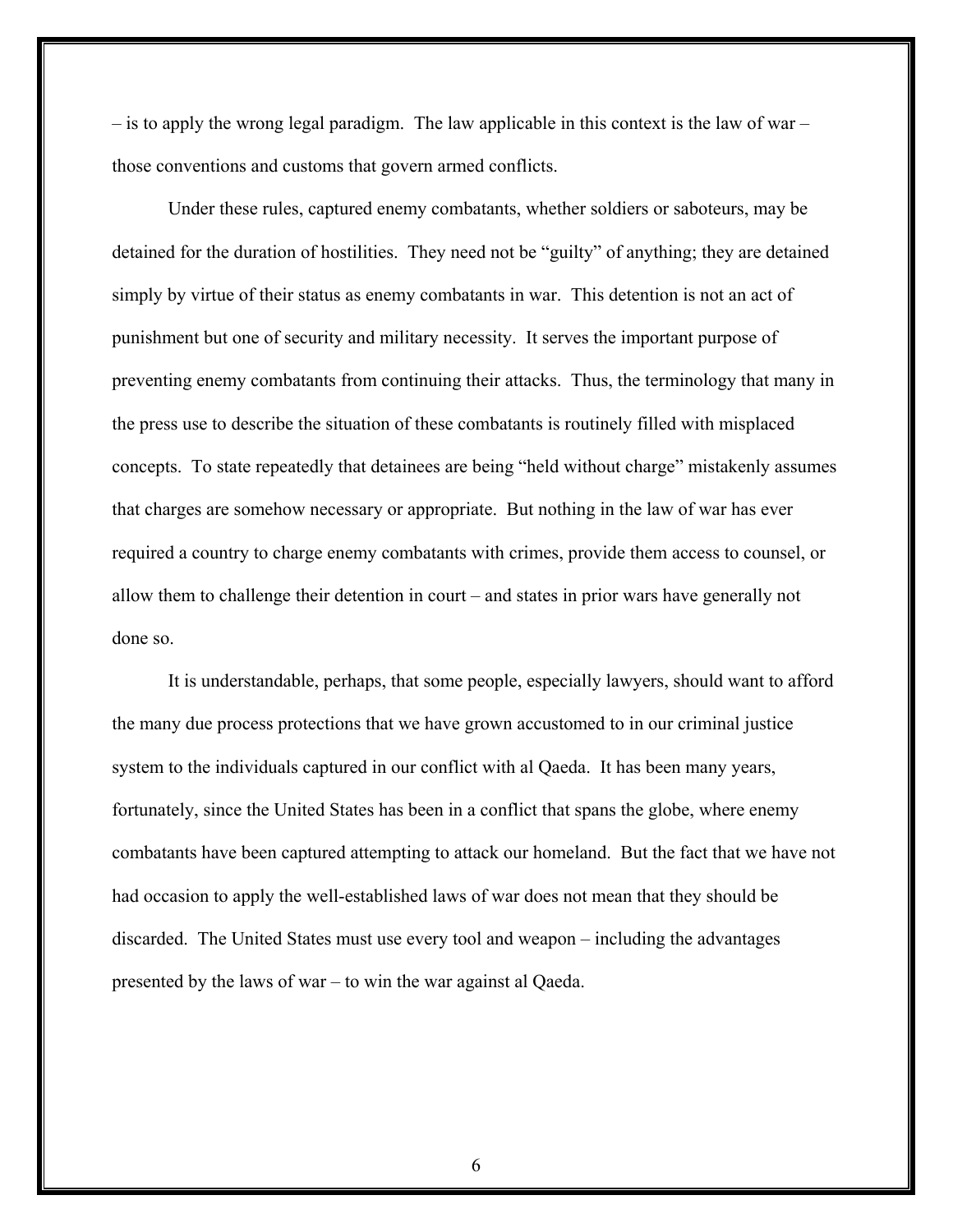– is to apply the wrong legal paradigm. The law applicable in this context is the law of war – those conventions and customs that govern armed conflicts.

Under these rules, captured enemy combatants, whether soldiers or saboteurs, may be detained for the duration of hostilities. They need not be "guilty" of anything; they are detained simply by virtue of their status as enemy combatants in war. This detention is not an act of punishment but one of security and military necessity. It serves the important purpose of preventing enemy combatants from continuing their attacks. Thus, the terminology that many in the press use to describe the situation of these combatants is routinely filled with misplaced concepts. To state repeatedly that detainees are being "held without charge" mistakenly assumes that charges are somehow necessary or appropriate. But nothing in the law of war has ever required a country to charge enemy combatants with crimes, provide them access to counsel, or allow them to challenge their detention in court – and states in prior wars have generally not done so.

It is understandable, perhaps, that some people, especially lawyers, should want to afford the many due process protections that we have grown accustomed to in our criminal justice system to the individuals captured in our conflict with al Qaeda. It has been many years, fortunately, since the United States has been in a conflict that spans the globe, where enemy combatants have been captured attempting to attack our homeland. But the fact that we have not had occasion to apply the well-established laws of war does not mean that they should be discarded. The United States must use every tool and weapon – including the advantages presented by the laws of war – to win the war against al Qaeda.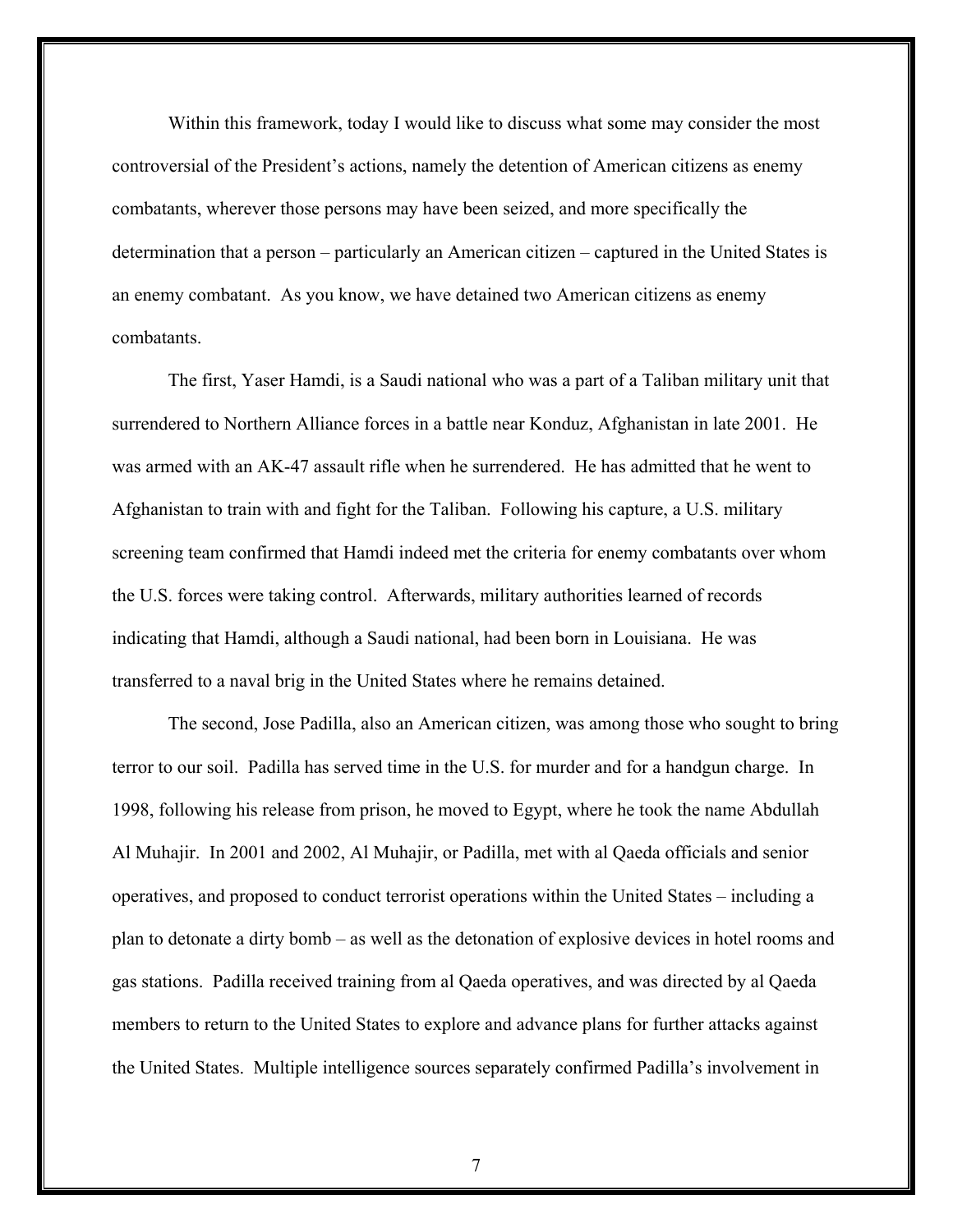Within this framework, today I would like to discuss what some may consider the most controversial of the President's actions, namely the detention of American citizens as enemy combatants, wherever those persons may have been seized, and more specifically the determination that a person – particularly an American citizen – captured in the United States is an enemy combatant. As you know, we have detained two American citizens as enemy combatants.

The first, Yaser Hamdi, is a Saudi national who was a part of a Taliban military unit that surrendered to Northern Alliance forces in a battle near Konduz, Afghanistan in late 2001. He was armed with an AK-47 assault rifle when he surrendered. He has admitted that he went to Afghanistan to train with and fight for the Taliban. Following his capture, a U.S. military screening team confirmed that Hamdi indeed met the criteria for enemy combatants over whom the U.S. forces were taking control. Afterwards, military authorities learned of records indicating that Hamdi, although a Saudi national, had been born in Louisiana. He was transferred to a naval brig in the United States where he remains detained.

The second, Jose Padilla, also an American citizen, was among those who sought to bring terror to our soil. Padilla has served time in the U.S. for murder and for a handgun charge. In 1998, following his release from prison, he moved to Egypt, where he took the name Abdullah Al Muhajir. In 2001 and 2002, Al Muhajir, or Padilla, met with al Qaeda officials and senior operatives, and proposed to conduct terrorist operations within the United States – including a plan to detonate a dirty bomb – as well as the detonation of explosive devices in hotel rooms and gas stations. Padilla received training from al Qaeda operatives, and was directed by al Qaeda members to return to the United States to explore and advance plans for further attacks against the United States. Multiple intelligence sources separately confirmed Padilla's involvement in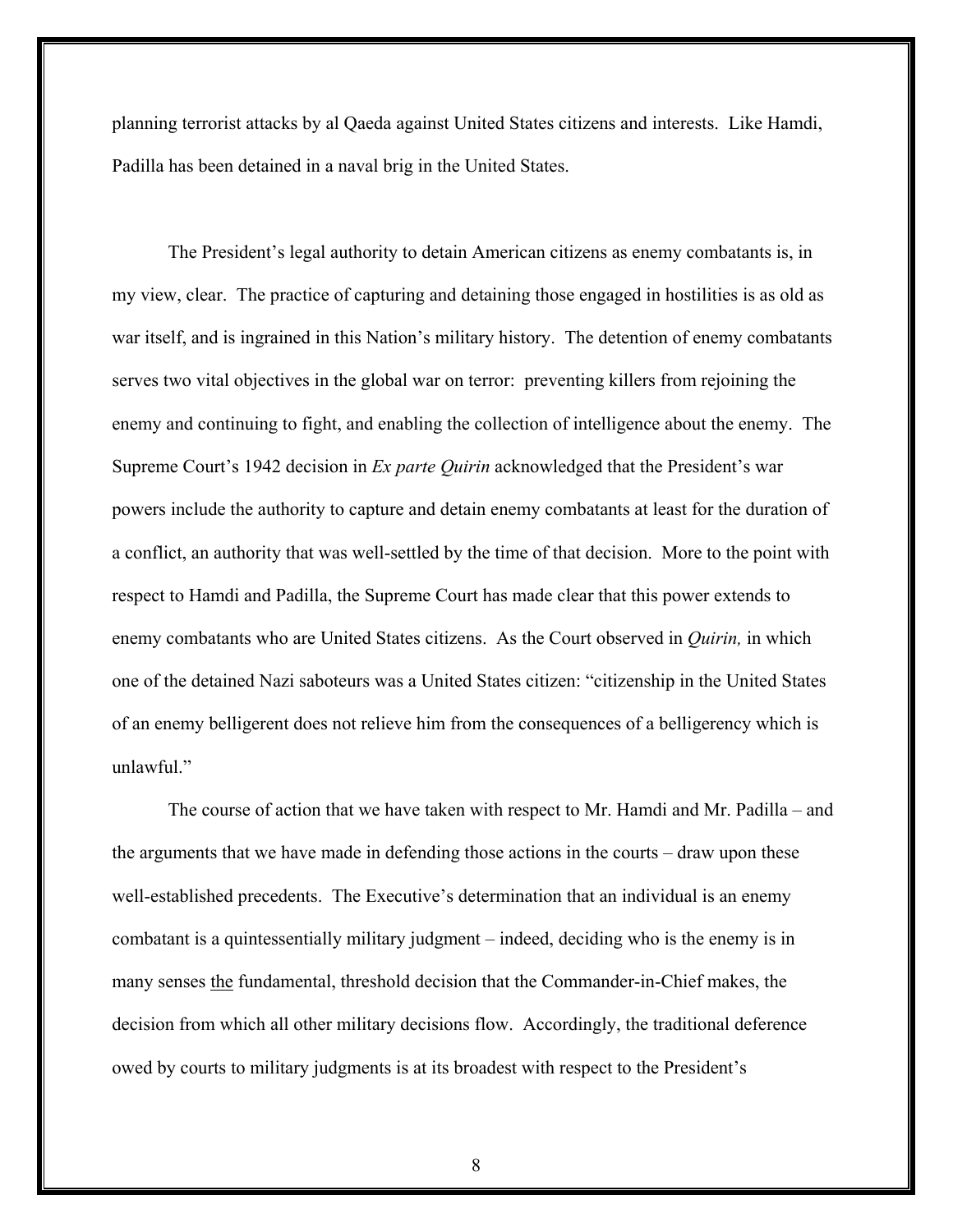planning terrorist attacks by al Qaeda against United States citizens and interests. Like Hamdi, Padilla has been detained in a naval brig in the United States.

The President's legal authority to detain American citizens as enemy combatants is, in my view, clear. The practice of capturing and detaining those engaged in hostilities is as old as war itself, and is ingrained in this Nation's military history. The detention of enemy combatants serves two vital objectives in the global war on terror: preventing killers from rejoining the enemy and continuing to fight, and enabling the collection of intelligence about the enemy. The Supreme Court's 1942 decision in *Ex parte Quirin* acknowledged that the President's war powers include the authority to capture and detain enemy combatants at least for the duration of a conflict, an authority that was well-settled by the time of that decision. More to the point with respect to Hamdi and Padilla, the Supreme Court has made clear that this power extends to enemy combatants who are United States citizens. As the Court observed in *Quirin,* in which one of the detained Nazi saboteurs was a United States citizen: "citizenship in the United States of an enemy belligerent does not relieve him from the consequences of a belligerency which is unlawful."

The course of action that we have taken with respect to Mr. Hamdi and Mr. Padilla – and the arguments that we have made in defending those actions in the courts – draw upon these well-established precedents. The Executive's determination that an individual is an enemy combatant is a quintessentially military judgment – indeed, deciding who is the enemy is in many senses the fundamental, threshold decision that the Commander-in-Chief makes, the decision from which all other military decisions flow. Accordingly, the traditional deference owed by courts to military judgments is at its broadest with respect to the President's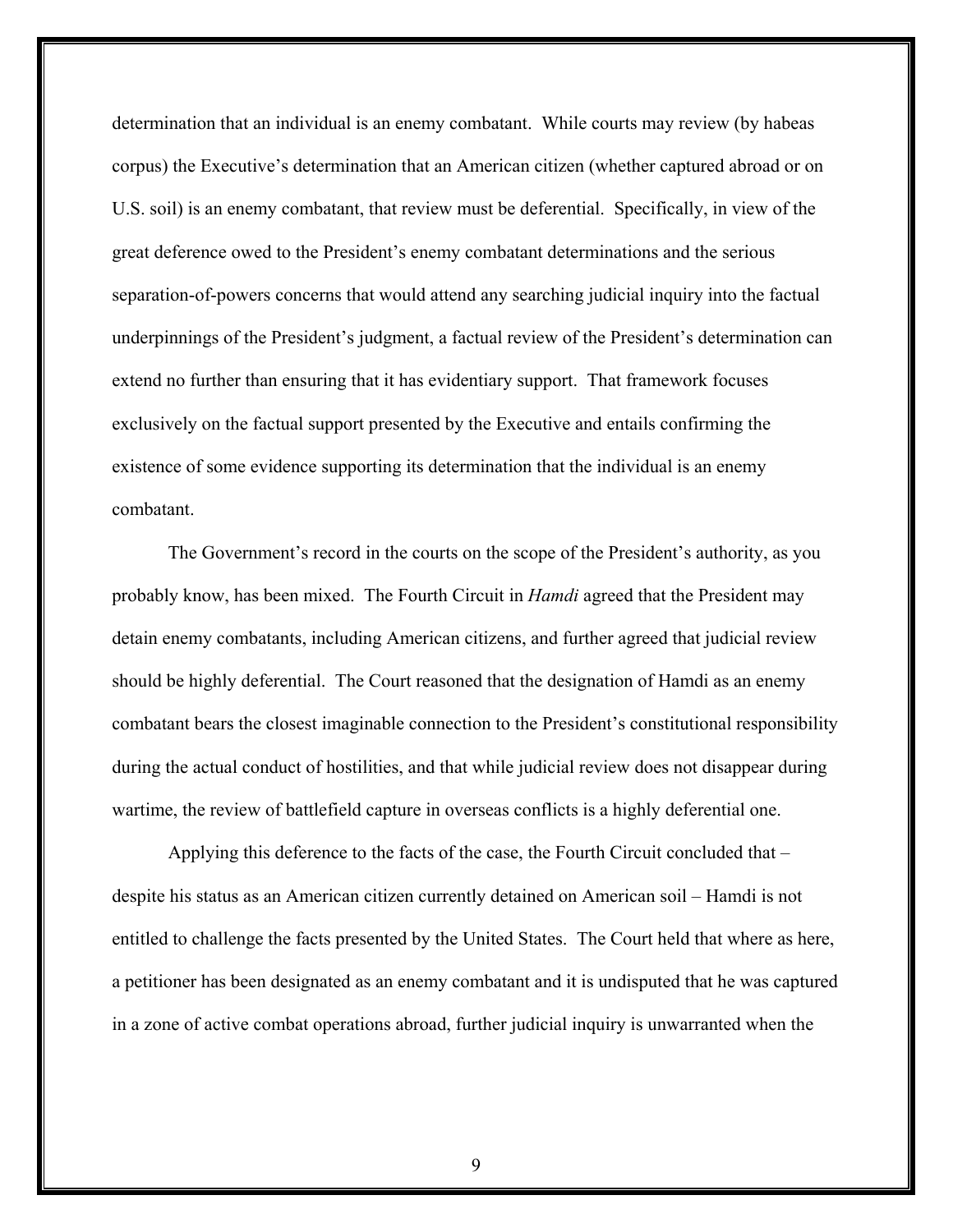determination that an individual is an enemy combatant. While courts may review (by habeas corpus) the Executive's determination that an American citizen (whether captured abroad or on U.S. soil) is an enemy combatant, that review must be deferential. Specifically, in view of the great deference owed to the President's enemy combatant determinations and the serious separation-of-powers concerns that would attend any searching judicial inquiry into the factual underpinnings of the President's judgment, a factual review of the President's determination can extend no further than ensuring that it has evidentiary support. That framework focuses exclusively on the factual support presented by the Executive and entails confirming the existence of some evidence supporting its determination that the individual is an enemy combatant.

The Government's record in the courts on the scope of the President's authority, as you probably know, has been mixed. The Fourth Circuit in *Hamdi* agreed that the President may detain enemy combatants, including American citizens, and further agreed that judicial review should be highly deferential. The Court reasoned that the designation of Hamdi as an enemy combatant bears the closest imaginable connection to the President's constitutional responsibility during the actual conduct of hostilities, and that while judicial review does not disappear during wartime, the review of battlefield capture in overseas conflicts is a highly deferential one.

Applying this deference to the facts of the case, the Fourth Circuit concluded that – despite his status as an American citizen currently detained on American soil – Hamdi is not entitled to challenge the facts presented by the United States. The Court held that where as here, a petitioner has been designated as an enemy combatant and it is undisputed that he was captured in a zone of active combat operations abroad, further judicial inquiry is unwarranted when the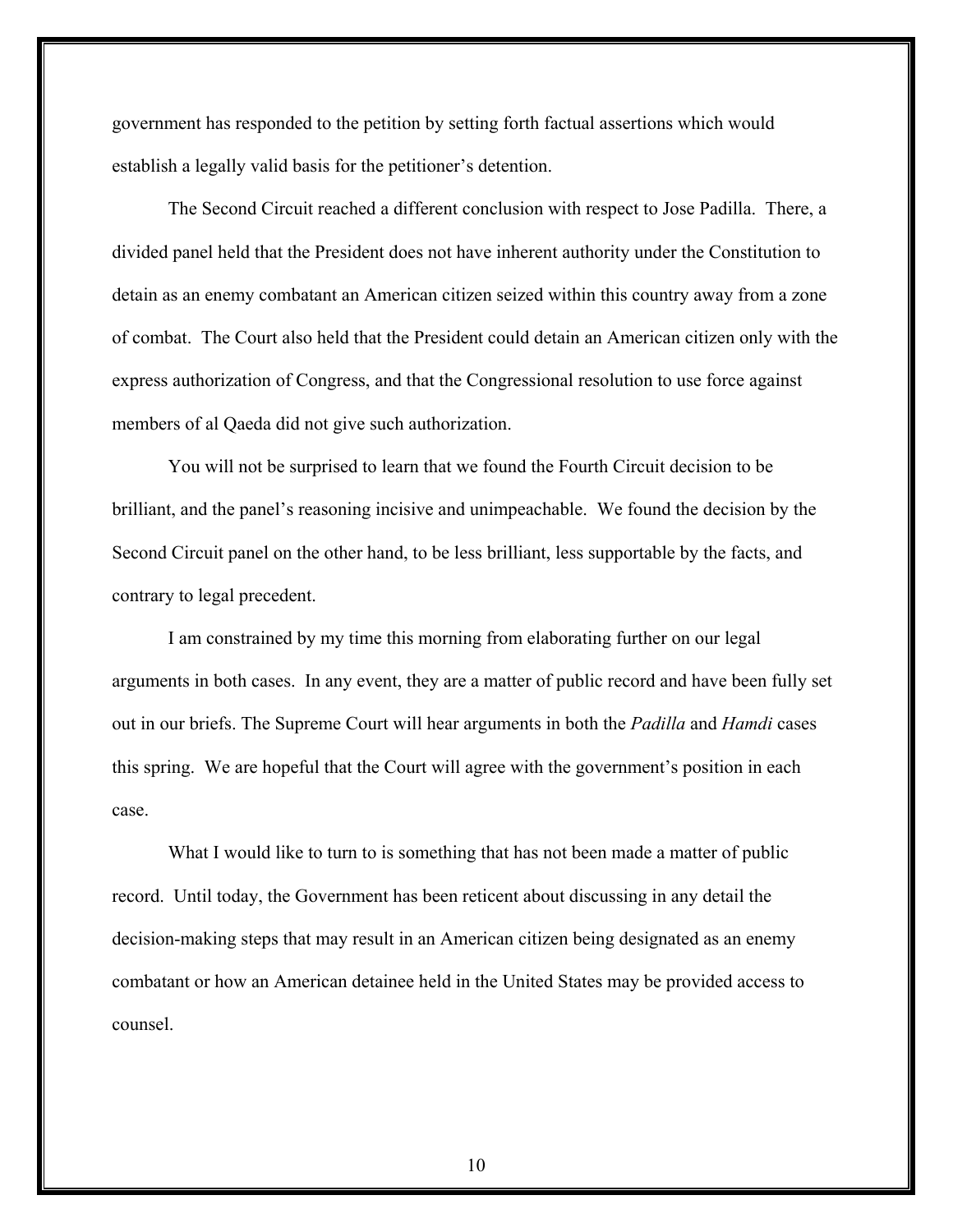government has responded to the petition by setting forth factual assertions which would establish a legally valid basis for the petitioner's detention.

The Second Circuit reached a different conclusion with respect to Jose Padilla. There, a divided panel held that the President does not have inherent authority under the Constitution to detain as an enemy combatant an American citizen seized within this country away from a zone of combat. The Court also held that the President could detain an American citizen only with the express authorization of Congress, and that the Congressional resolution to use force against members of al Qaeda did not give such authorization.

You will not be surprised to learn that we found the Fourth Circuit decision to be brilliant, and the panel's reasoning incisive and unimpeachable. We found the decision by the Second Circuit panel on the other hand, to be less brilliant, less supportable by the facts, and contrary to legal precedent.

I am constrained by my time this morning from elaborating further on our legal arguments in both cases. In any event, they are a matter of public record and have been fully set out in our briefs. The Supreme Court will hear arguments in both the *Padilla* and *Hamdi* cases this spring. We are hopeful that the Court will agree with the government's position in each case.

What I would like to turn to is something that has not been made a matter of public record. Until today, the Government has been reticent about discussing in any detail the decision-making steps that may result in an American citizen being designated as an enemy combatant or how an American detainee held in the United States may be provided access to counsel.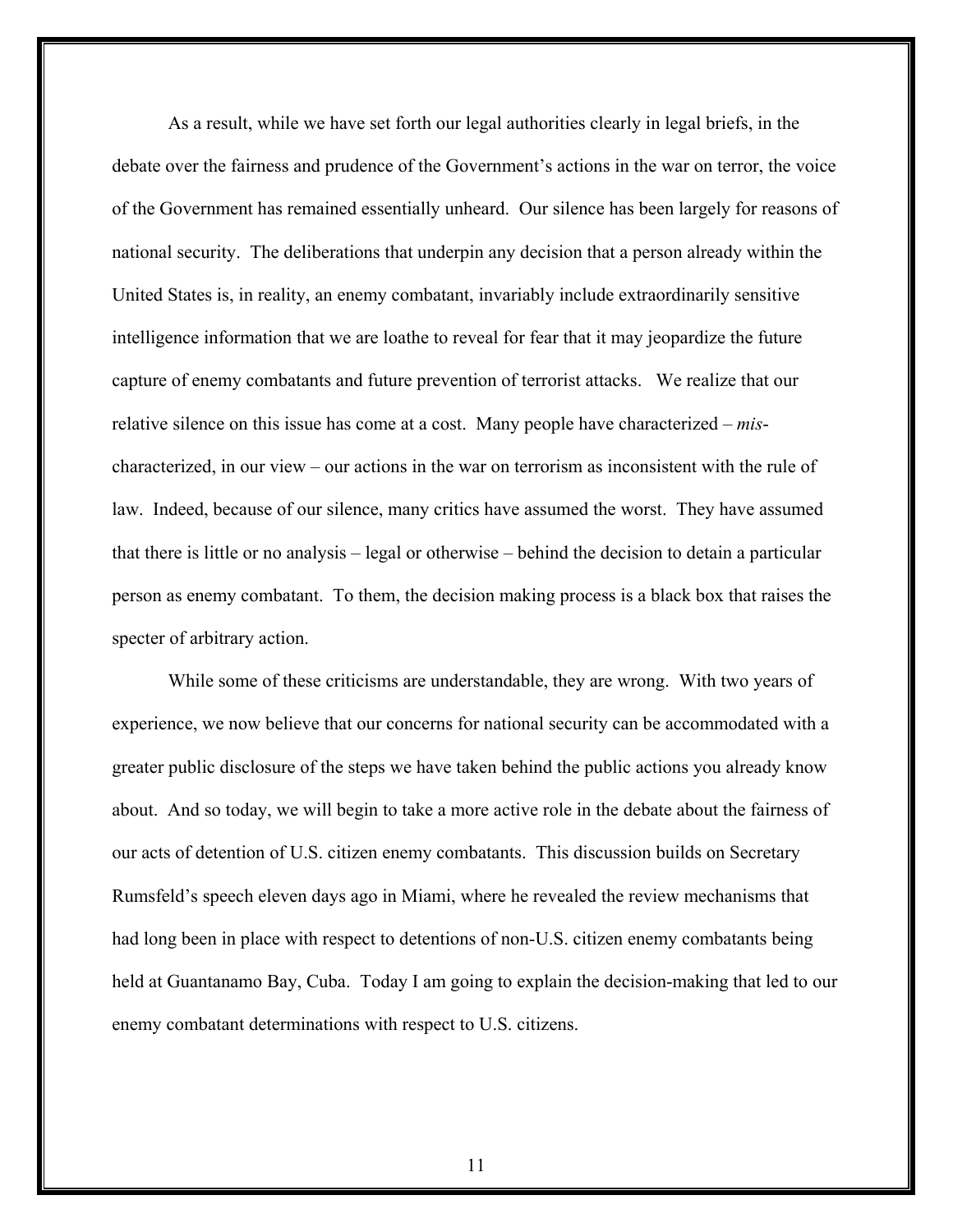As a result, while we have set forth our legal authorities clearly in legal briefs, in the debate over the fairness and prudence of the Government's actions in the war on terror, the voice of the Government has remained essentially unheard. Our silence has been largely for reasons of national security. The deliberations that underpin any decision that a person already within the United States is, in reality, an enemy combatant, invariably include extraordinarily sensitive intelligence information that we are loathe to reveal for fear that it may jeopardize the future capture of enemy combatants and future prevention of terrorist attacks. We realize that our relative silence on this issue has come at a cost. Many people have characterized – *mis*characterized, in our view – our actions in the war on terrorism as inconsistent with the rule of law. Indeed, because of our silence, many critics have assumed the worst. They have assumed that there is little or no analysis – legal or otherwise – behind the decision to detain a particular person as enemy combatant. To them, the decision making process is a black box that raises the specter of arbitrary action.

While some of these criticisms are understandable, they are wrong. With two years of experience, we now believe that our concerns for national security can be accommodated with a greater public disclosure of the steps we have taken behind the public actions you already know about. And so today, we will begin to take a more active role in the debate about the fairness of our acts of detention of U.S. citizen enemy combatants. This discussion builds on Secretary Rumsfeld's speech eleven days ago in Miami, where he revealed the review mechanisms that had long been in place with respect to detentions of non-U.S. citizen enemy combatants being held at Guantanamo Bay, Cuba. Today I am going to explain the decision-making that led to our enemy combatant determinations with respect to U.S. citizens.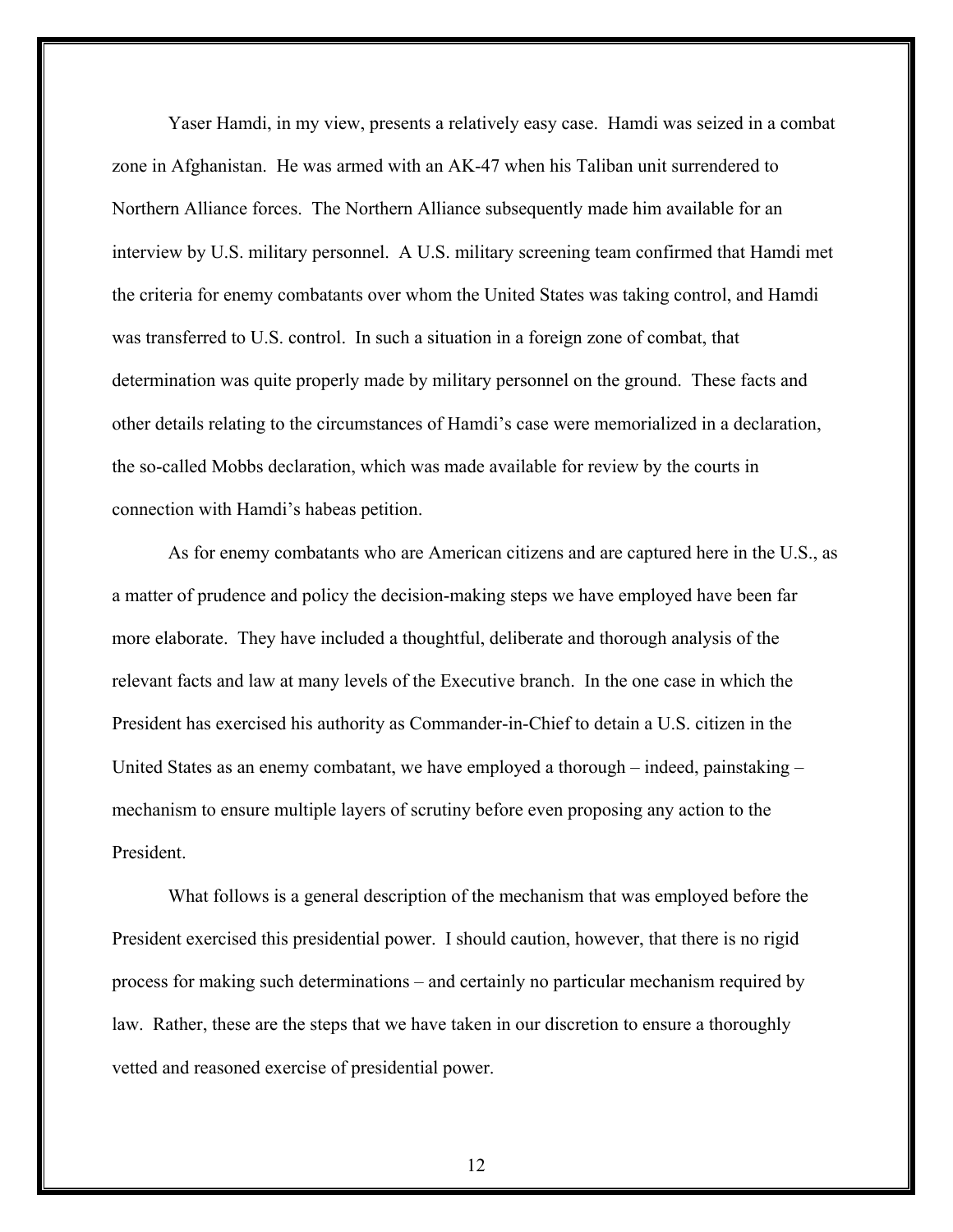Yaser Hamdi, in my view, presents a relatively easy case. Hamdi was seized in a combat zone in Afghanistan. He was armed with an AK-47 when his Taliban unit surrendered to Northern Alliance forces. The Northern Alliance subsequently made him available for an interview by U.S. military personnel. A U.S. military screening team confirmed that Hamdi met the criteria for enemy combatants over whom the United States was taking control, and Hamdi was transferred to U.S. control. In such a situation in a foreign zone of combat, that determination was quite properly made by military personnel on the ground. These facts and other details relating to the circumstances of Hamdi's case were memorialized in a declaration, the so-called Mobbs declaration, which was made available for review by the courts in connection with Hamdi's habeas petition.

As for enemy combatants who are American citizens and are captured here in the U.S., as a matter of prudence and policy the decision-making steps we have employed have been far more elaborate. They have included a thoughtful, deliberate and thorough analysis of the relevant facts and law at many levels of the Executive branch. In the one case in which the President has exercised his authority as Commander-in-Chief to detain a U.S. citizen in the United States as an enemy combatant, we have employed a thorough – indeed, painstaking – mechanism to ensure multiple layers of scrutiny before even proposing any action to the President.

What follows is a general description of the mechanism that was employed before the President exercised this presidential power. I should caution, however, that there is no rigid process for making such determinations – and certainly no particular mechanism required by law. Rather, these are the steps that we have taken in our discretion to ensure a thoroughly vetted and reasoned exercise of presidential power.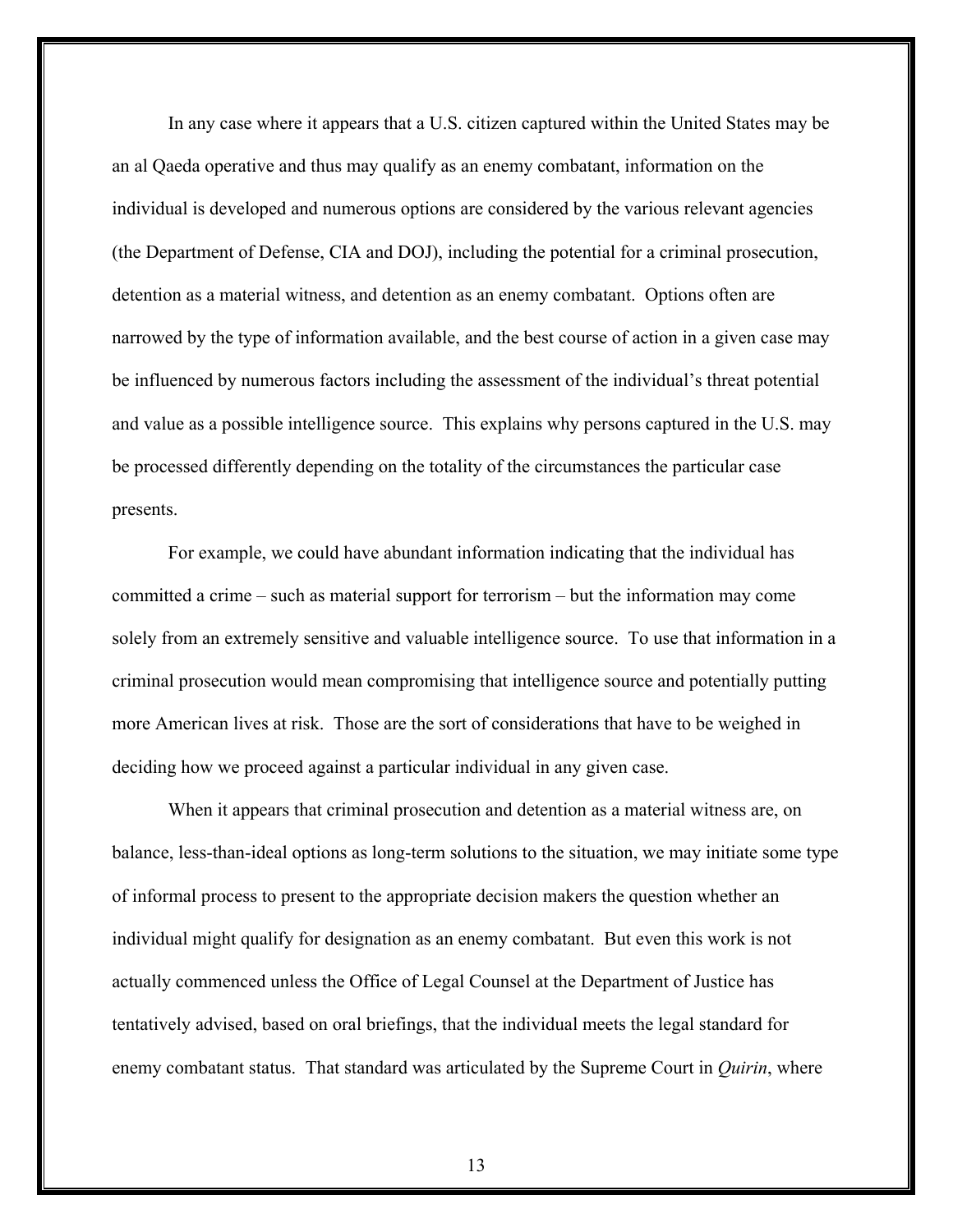In any case where it appears that a U.S. citizen captured within the United States may be an al Qaeda operative and thus may qualify as an enemy combatant, information on the individual is developed and numerous options are considered by the various relevant agencies (the Department of Defense, CIA and DOJ), including the potential for a criminal prosecution, detention as a material witness, and detention as an enemy combatant. Options often are narrowed by the type of information available, and the best course of action in a given case may be influenced by numerous factors including the assessment of the individual's threat potential and value as a possible intelligence source. This explains why persons captured in the U.S. may be processed differently depending on the totality of the circumstances the particular case presents.

For example, we could have abundant information indicating that the individual has committed a crime – such as material support for terrorism – but the information may come solely from an extremely sensitive and valuable intelligence source. To use that information in a criminal prosecution would mean compromising that intelligence source and potentially putting more American lives at risk. Those are the sort of considerations that have to be weighed in deciding how we proceed against a particular individual in any given case.

When it appears that criminal prosecution and detention as a material witness are, on balance, less-than-ideal options as long-term solutions to the situation, we may initiate some type of informal process to present to the appropriate decision makers the question whether an individual might qualify for designation as an enemy combatant. But even this work is not actually commenced unless the Office of Legal Counsel at the Department of Justice has tentatively advised, based on oral briefings, that the individual meets the legal standard for enemy combatant status. That standard was articulated by the Supreme Court in *Quirin*, where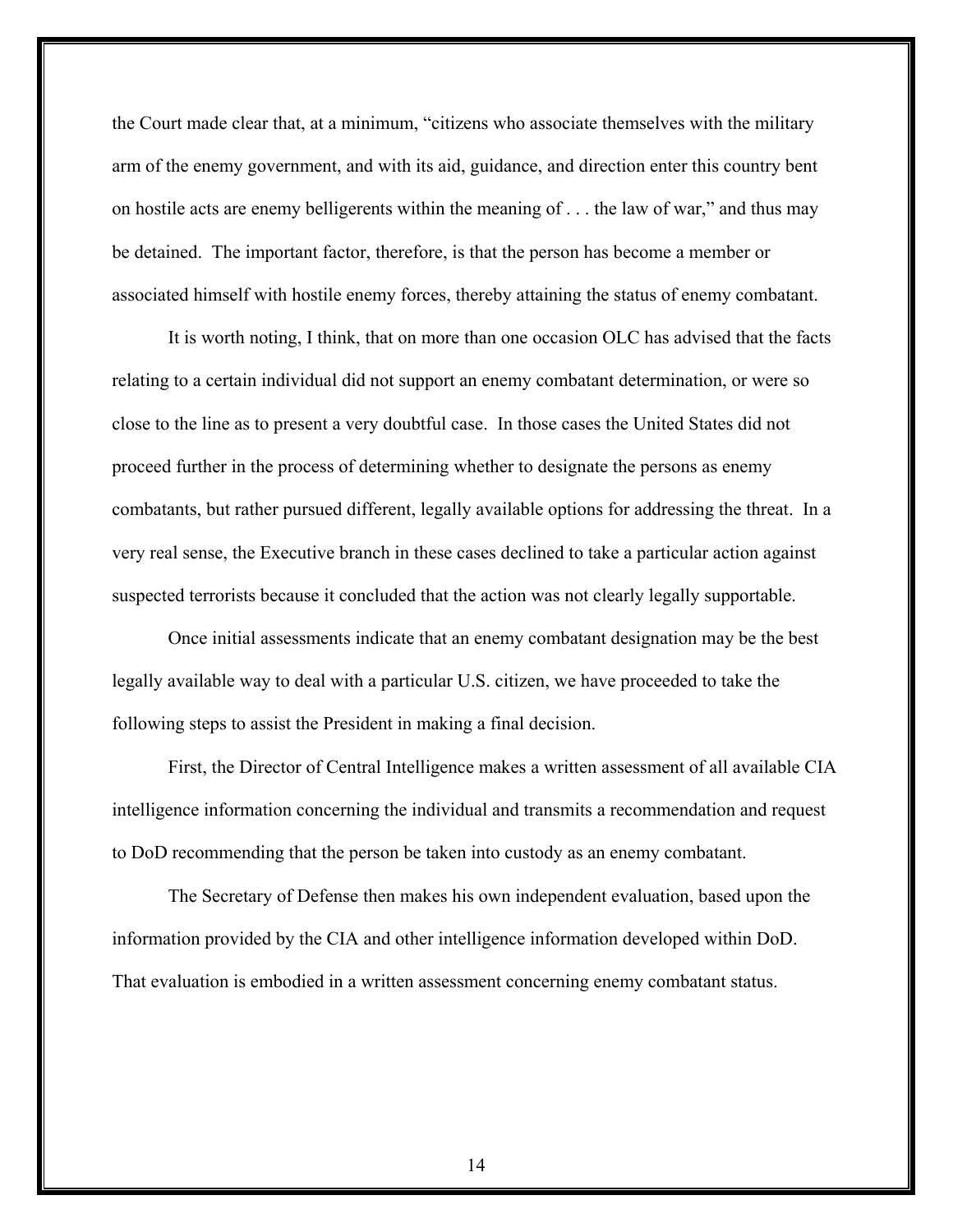the Court made clear that, at a minimum, "citizens who associate themselves with the military arm of the enemy government, and with its aid, guidance, and direction enter this country bent on hostile acts are enemy belligerents within the meaning of . . . the law of war," and thus may be detained. The important factor, therefore, is that the person has become a member or associated himself with hostile enemy forces, thereby attaining the status of enemy combatant.

It is worth noting, I think, that on more than one occasion OLC has advised that the facts relating to a certain individual did not support an enemy combatant determination, or were so close to the line as to present a very doubtful case. In those cases the United States did not proceed further in the process of determining whether to designate the persons as enemy combatants, but rather pursued different, legally available options for addressing the threat. In a very real sense, the Executive branch in these cases declined to take a particular action against suspected terrorists because it concluded that the action was not clearly legally supportable.

Once initial assessments indicate that an enemy combatant designation may be the best legally available way to deal with a particular U.S. citizen, we have proceeded to take the following steps to assist the President in making a final decision.

First, the Director of Central Intelligence makes a written assessment of all available CIA intelligence information concerning the individual and transmits a recommendation and request to DoD recommending that the person be taken into custody as an enemy combatant.

The Secretary of Defense then makes his own independent evaluation, based upon the information provided by the CIA and other intelligence information developed within DoD. That evaluation is embodied in a written assessment concerning enemy combatant status.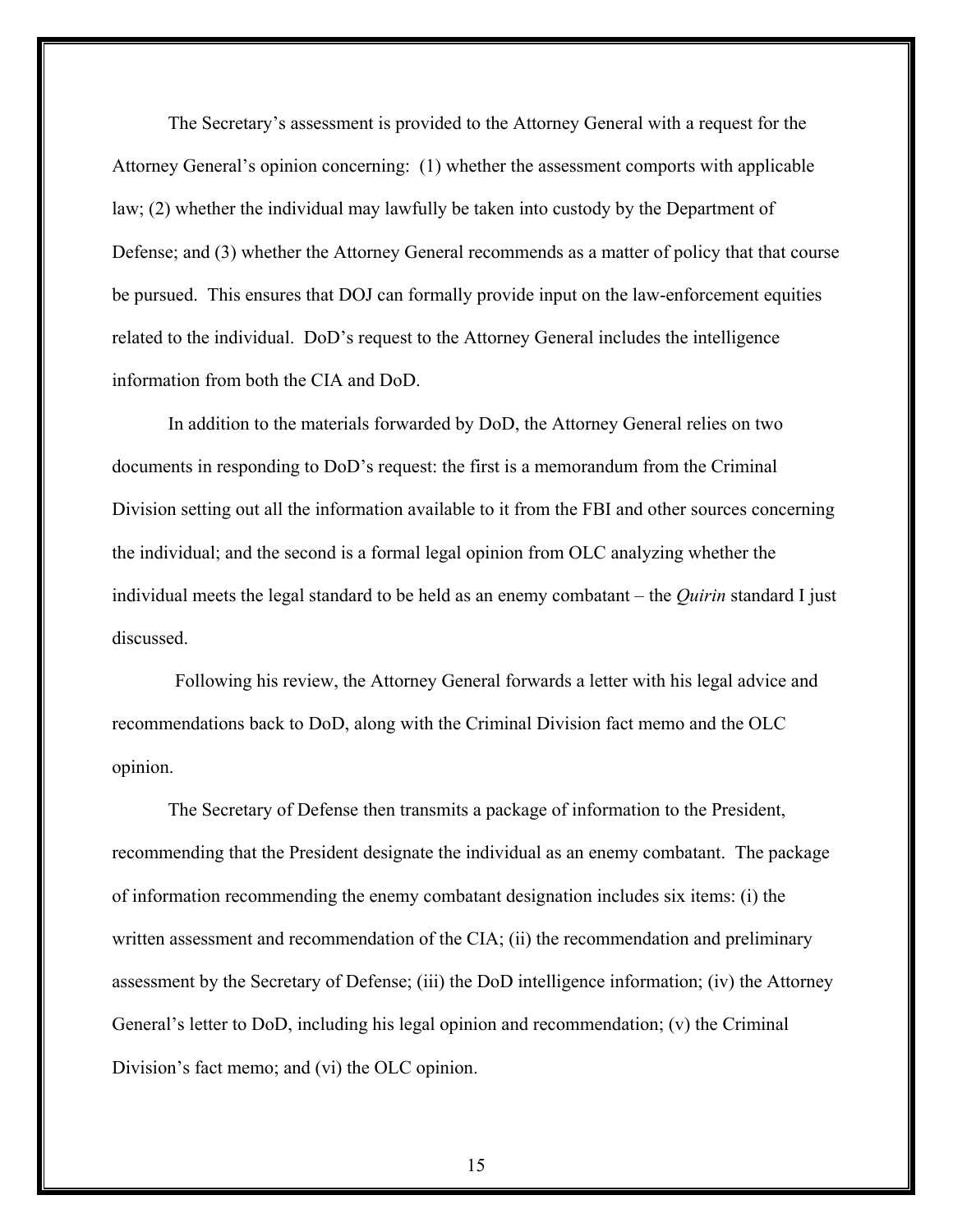The Secretary's assessment is provided to the Attorney General with a request for the Attorney General's opinion concerning: (1) whether the assessment comports with applicable law; (2) whether the individual may lawfully be taken into custody by the Department of Defense; and (3) whether the Attorney General recommends as a matter of policy that that course be pursued. This ensures that DOJ can formally provide input on the law-enforcement equities related to the individual. DoD's request to the Attorney General includes the intelligence information from both the CIA and DoD.

In addition to the materials forwarded by DoD, the Attorney General relies on two documents in responding to DoD's request: the first is a memorandum from the Criminal Division setting out all the information available to it from the FBI and other sources concerning the individual; and the second is a formal legal opinion from OLC analyzing whether the individual meets the legal standard to be held as an enemy combatant – the *Quirin* standard I just discussed.

Following his review, the Attorney General forwards a letter with his legal advice and recommendations back to DoD, along with the Criminal Division fact memo and the OLC opinion.

The Secretary of Defense then transmits a package of information to the President, recommending that the President designate the individual as an enemy combatant. The package of information recommending the enemy combatant designation includes six items: (i) the written assessment and recommendation of the CIA; (ii) the recommendation and preliminary assessment by the Secretary of Defense; (iii) the DoD intelligence information; (iv) the Attorney General's letter to DoD, including his legal opinion and recommendation; (v) the Criminal Division's fact memo; and (vi) the OLC opinion.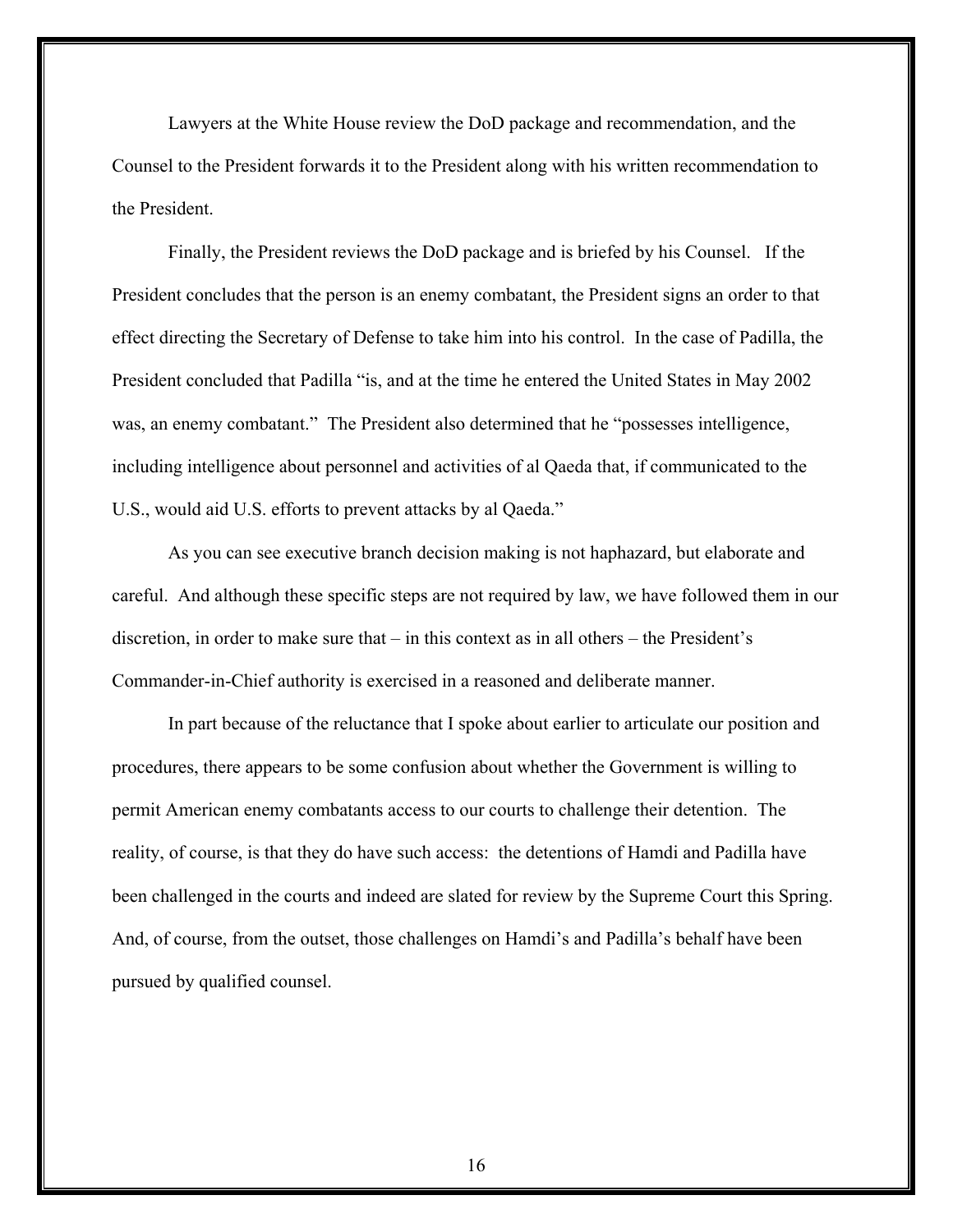Lawyers at the White House review the DoD package and recommendation, and the Counsel to the President forwards it to the President along with his written recommendation to the President.

Finally, the President reviews the DoD package and is briefed by his Counsel. If the President concludes that the person is an enemy combatant, the President signs an order to that effect directing the Secretary of Defense to take him into his control. In the case of Padilla, the President concluded that Padilla "is, and at the time he entered the United States in May 2002 was, an enemy combatant." The President also determined that he "possesses intelligence, including intelligence about personnel and activities of al Qaeda that, if communicated to the U.S., would aid U.S. efforts to prevent attacks by al Qaeda."

As you can see executive branch decision making is not haphazard, but elaborate and careful. And although these specific steps are not required by law, we have followed them in our discretion, in order to make sure that – in this context as in all others – the President's Commander-in-Chief authority is exercised in a reasoned and deliberate manner.

In part because of the reluctance that I spoke about earlier to articulate our position and procedures, there appears to be some confusion about whether the Government is willing to permit American enemy combatants access to our courts to challenge their detention. The reality, of course, is that they do have such access: the detentions of Hamdi and Padilla have been challenged in the courts and indeed are slated for review by the Supreme Court this Spring. And, of course, from the outset, those challenges on Hamdi's and Padilla's behalf have been pursued by qualified counsel.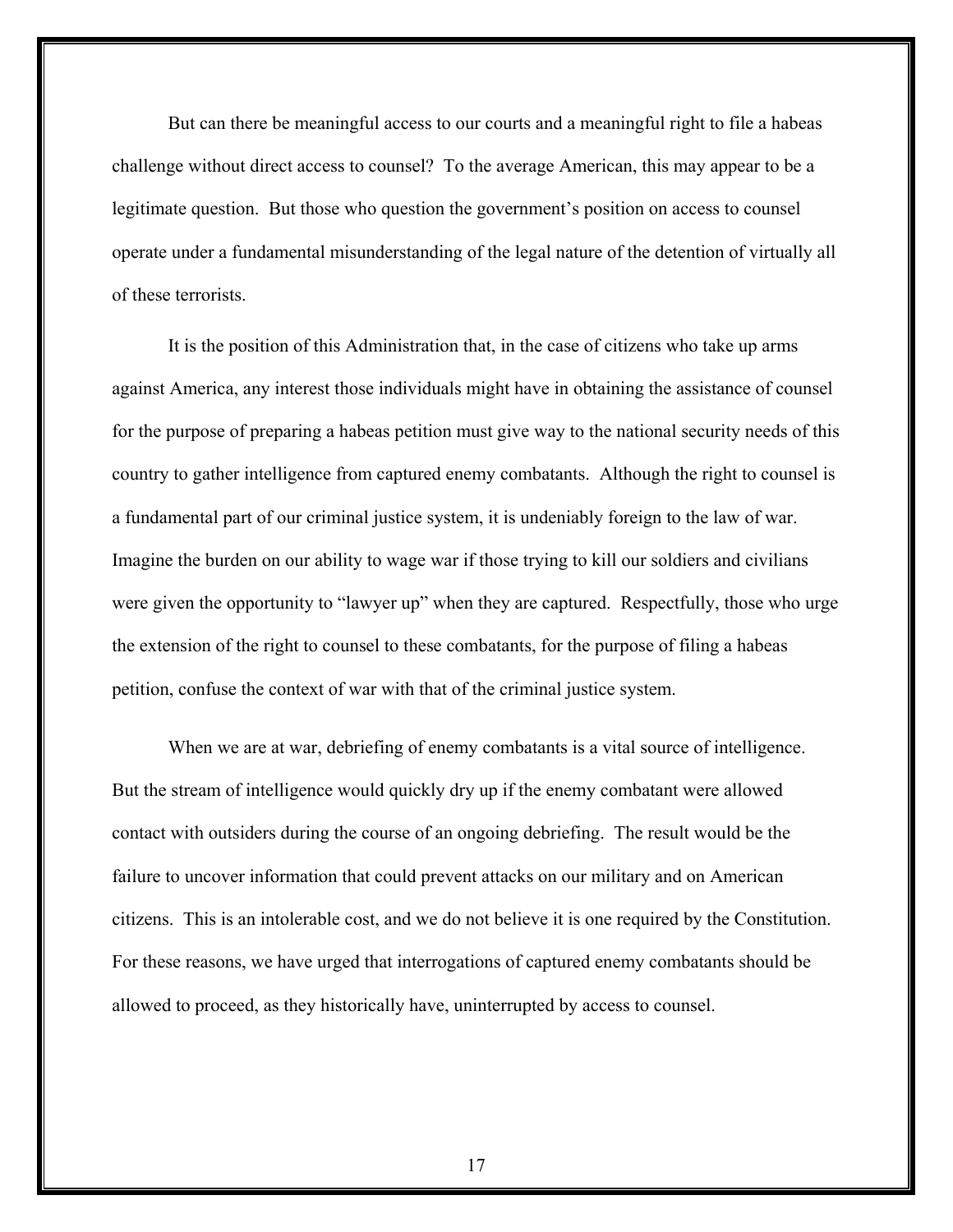But can there be meaningful access to our courts and a meaningful right to file a habeas challenge without direct access to counsel? To the average American, this may appear to be a legitimate question. But those who question the government's position on access to counsel operate under a fundamental misunderstanding of the legal nature of the detention of virtually all of these terrorists.

It is the position of this Administration that, in the case of citizens who take up arms against America, any interest those individuals might have in obtaining the assistance of counsel for the purpose of preparing a habeas petition must give way to the national security needs of this country to gather intelligence from captured enemy combatants. Although the right to counsel is a fundamental part of our criminal justice system, it is undeniably foreign to the law of war. Imagine the burden on our ability to wage war if those trying to kill our soldiers and civilians were given the opportunity to "lawyer up" when they are captured. Respectfully, those who urge the extension of the right to counsel to these combatants, for the purpose of filing a habeas petition, confuse the context of war with that of the criminal justice system.

When we are at war, debriefing of enemy combatants is a vital source of intelligence. But the stream of intelligence would quickly dry up if the enemy combatant were allowed contact with outsiders during the course of an ongoing debriefing. The result would be the failure to uncover information that could prevent attacks on our military and on American citizens. This is an intolerable cost, and we do not believe it is one required by the Constitution. For these reasons, we have urged that interrogations of captured enemy combatants should be allowed to proceed, as they historically have, uninterrupted by access to counsel.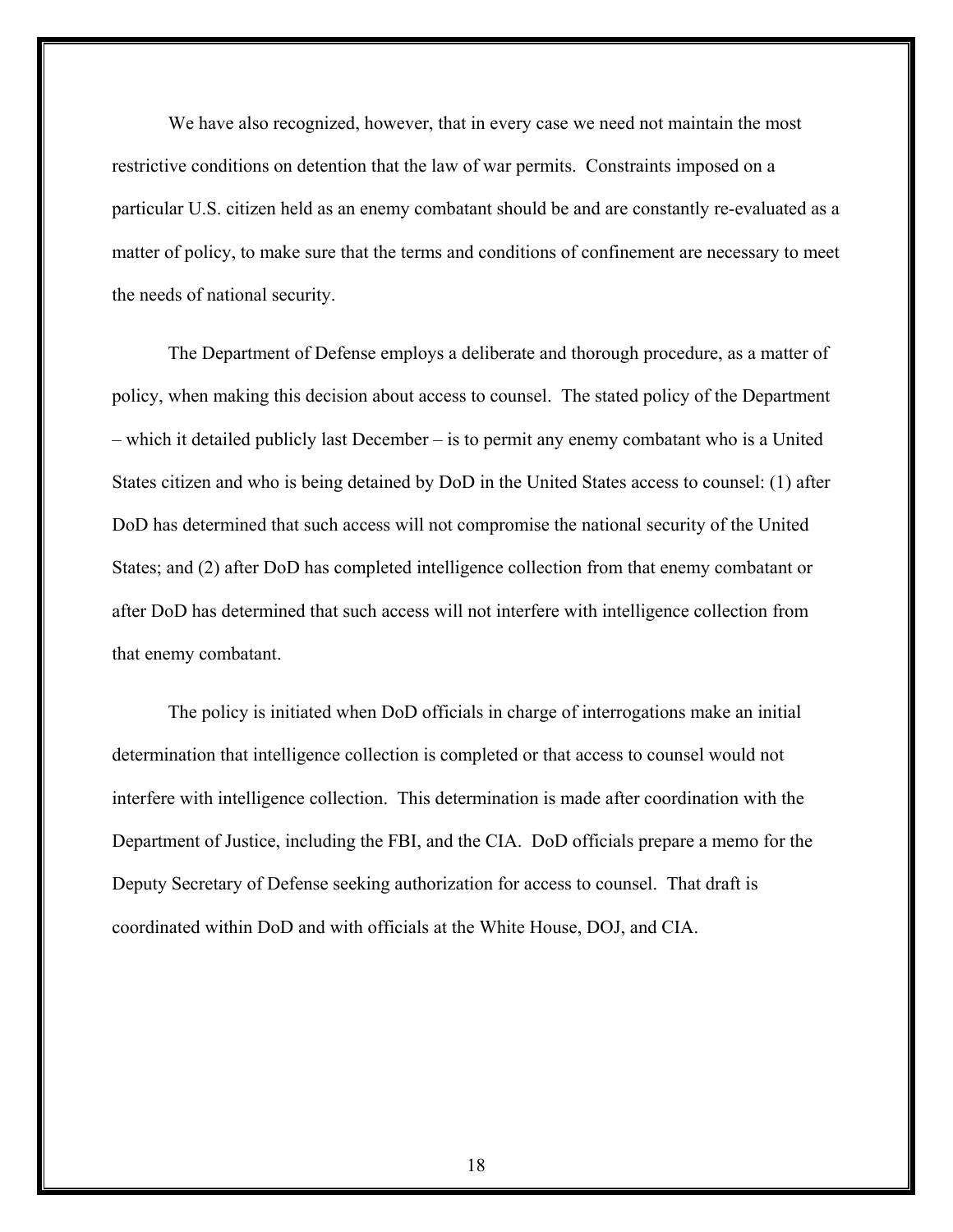We have also recognized, however, that in every case we need not maintain the most restrictive conditions on detention that the law of war permits. Constraints imposed on a particular U.S. citizen held as an enemy combatant should be and are constantly re-evaluated as a matter of policy, to make sure that the terms and conditions of confinement are necessary to meet the needs of national security.

The Department of Defense employs a deliberate and thorough procedure, as a matter of policy, when making this decision about access to counsel. The stated policy of the Department – which it detailed publicly last December – is to permit any enemy combatant who is a United States citizen and who is being detained by DoD in the United States access to counsel: (1) after DoD has determined that such access will not compromise the national security of the United States; and (2) after DoD has completed intelligence collection from that enemy combatant or after DoD has determined that such access will not interfere with intelligence collection from that enemy combatant.

The policy is initiated when DoD officials in charge of interrogations make an initial determination that intelligence collection is completed or that access to counsel would not interfere with intelligence collection. This determination is made after coordination with the Department of Justice, including the FBI, and the CIA. DoD officials prepare a memo for the Deputy Secretary of Defense seeking authorization for access to counsel. That draft is coordinated within DoD and with officials at the White House, DOJ, and CIA.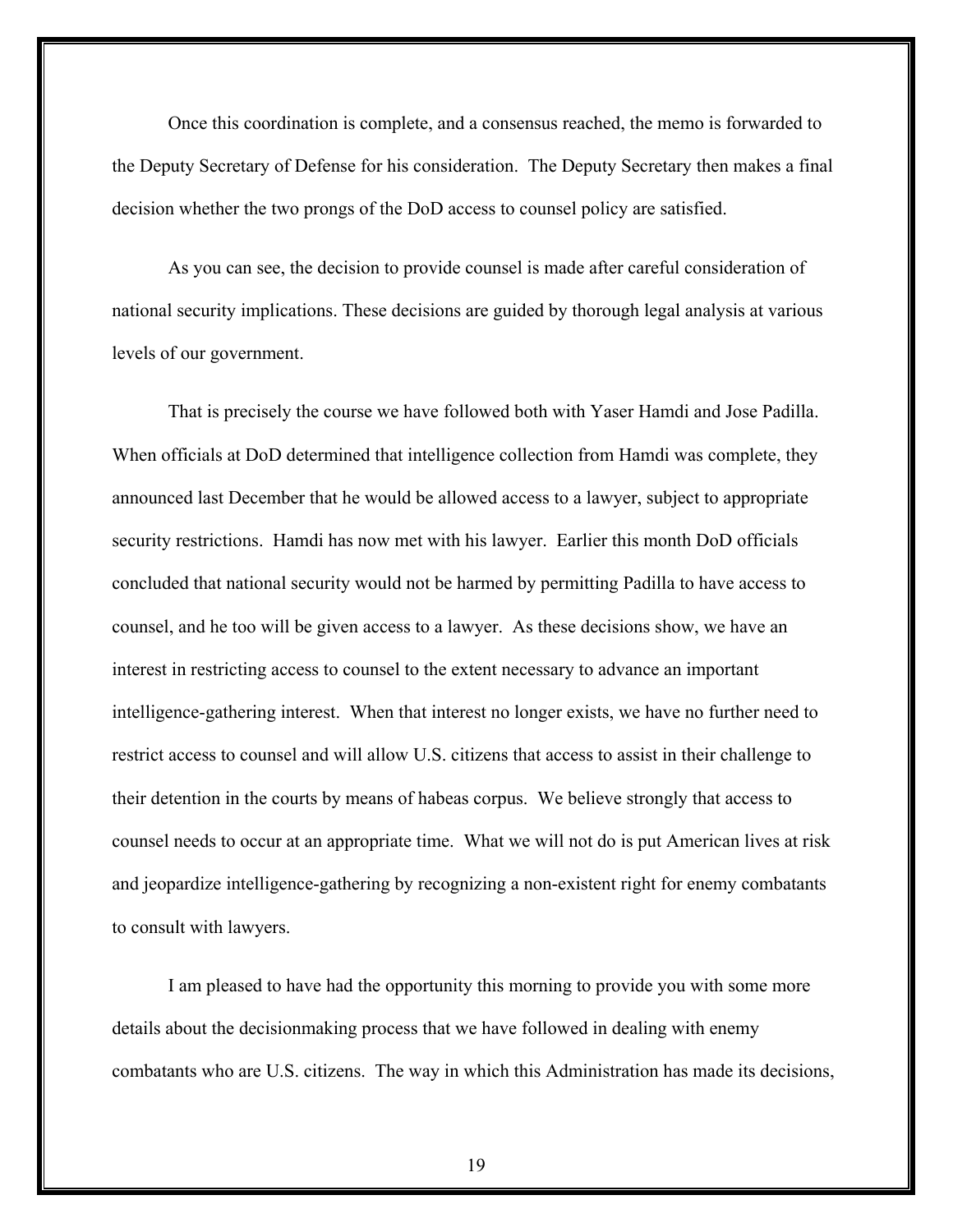Once this coordination is complete, and a consensus reached, the memo is forwarded to the Deputy Secretary of Defense for his consideration. The Deputy Secretary then makes a final decision whether the two prongs of the DoD access to counsel policy are satisfied.

As you can see, the decision to provide counsel is made after careful consideration of national security implications. These decisions are guided by thorough legal analysis at various levels of our government.

That is precisely the course we have followed both with Yaser Hamdi and Jose Padilla. When officials at DoD determined that intelligence collection from Hamdi was complete, they announced last December that he would be allowed access to a lawyer, subject to appropriate security restrictions. Hamdi has now met with his lawyer. Earlier this month DoD officials concluded that national security would not be harmed by permitting Padilla to have access to counsel, and he too will be given access to a lawyer. As these decisions show, we have an interest in restricting access to counsel to the extent necessary to advance an important intelligence-gathering interest. When that interest no longer exists, we have no further need to restrict access to counsel and will allow U.S. citizens that access to assist in their challenge to their detention in the courts by means of habeas corpus. We believe strongly that access to counsel needs to occur at an appropriate time. What we will not do is put American lives at risk and jeopardize intelligence-gathering by recognizing a non-existent right for enemy combatants to consult with lawyers.

I am pleased to have had the opportunity this morning to provide you with some more details about the decisionmaking process that we have followed in dealing with enemy combatants who are U.S. citizens. The way in which this Administration has made its decisions,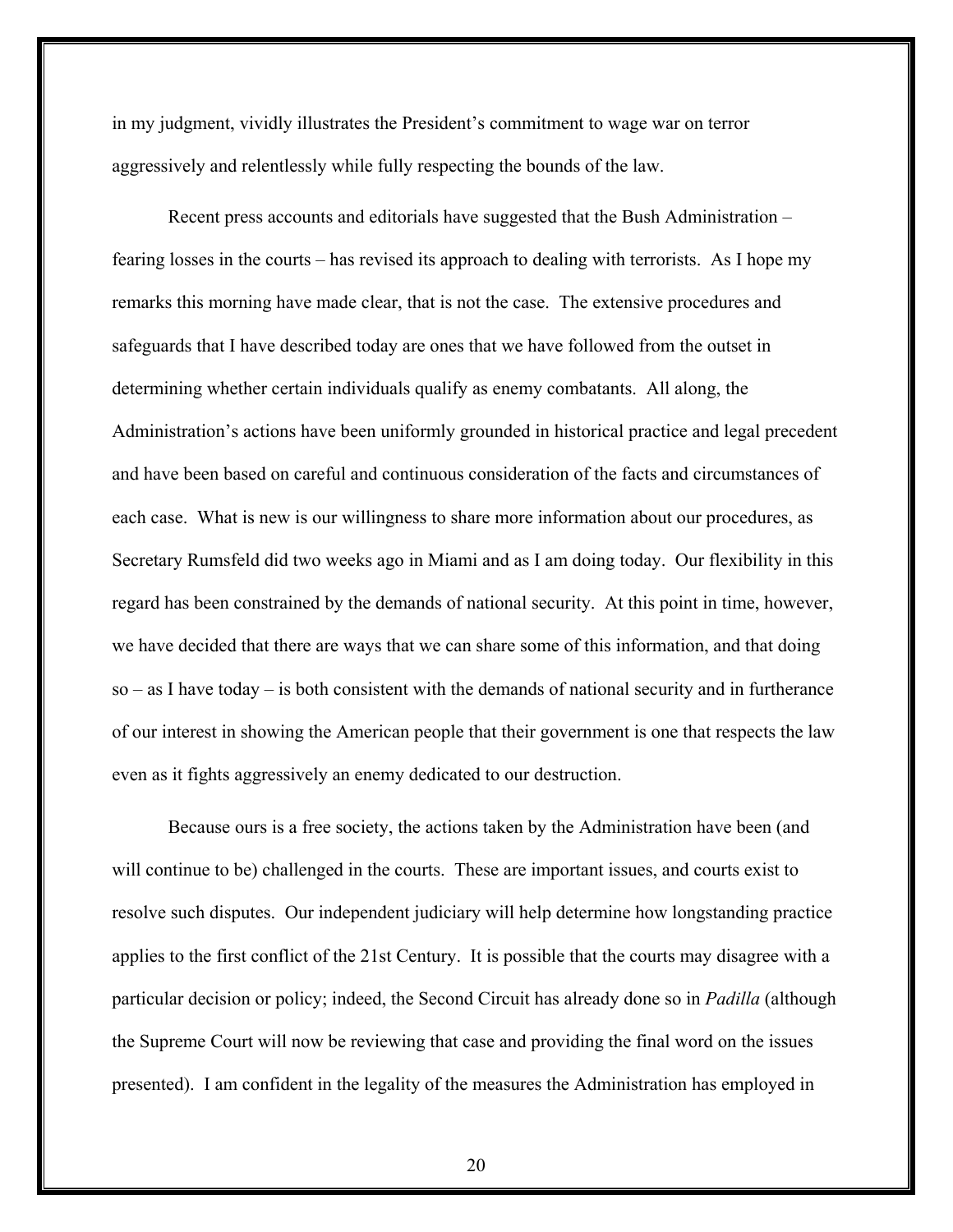in my judgment, vividly illustrates the President's commitment to wage war on terror aggressively and relentlessly while fully respecting the bounds of the law.

Recent press accounts and editorials have suggested that the Bush Administration – fearing losses in the courts – has revised its approach to dealing with terrorists. As I hope my remarks this morning have made clear, that is not the case. The extensive procedures and safeguards that I have described today are ones that we have followed from the outset in determining whether certain individuals qualify as enemy combatants. All along, the Administration's actions have been uniformly grounded in historical practice and legal precedent and have been based on careful and continuous consideration of the facts and circumstances of each case. What is new is our willingness to share more information about our procedures, as Secretary Rumsfeld did two weeks ago in Miami and as I am doing today. Our flexibility in this regard has been constrained by the demands of national security. At this point in time, however, we have decided that there are ways that we can share some of this information, and that doing so – as I have today – is both consistent with the demands of national security and in furtherance of our interest in showing the American people that their government is one that respects the law even as it fights aggressively an enemy dedicated to our destruction.

Because ours is a free society, the actions taken by the Administration have been (and will continue to be) challenged in the courts. These are important issues, and courts exist to resolve such disputes. Our independent judiciary will help determine how longstanding practice applies to the first conflict of the 21st Century. It is possible that the courts may disagree with a particular decision or policy; indeed, the Second Circuit has already done so in *Padilla* (although the Supreme Court will now be reviewing that case and providing the final word on the issues presented). I am confident in the legality of the measures the Administration has employed in